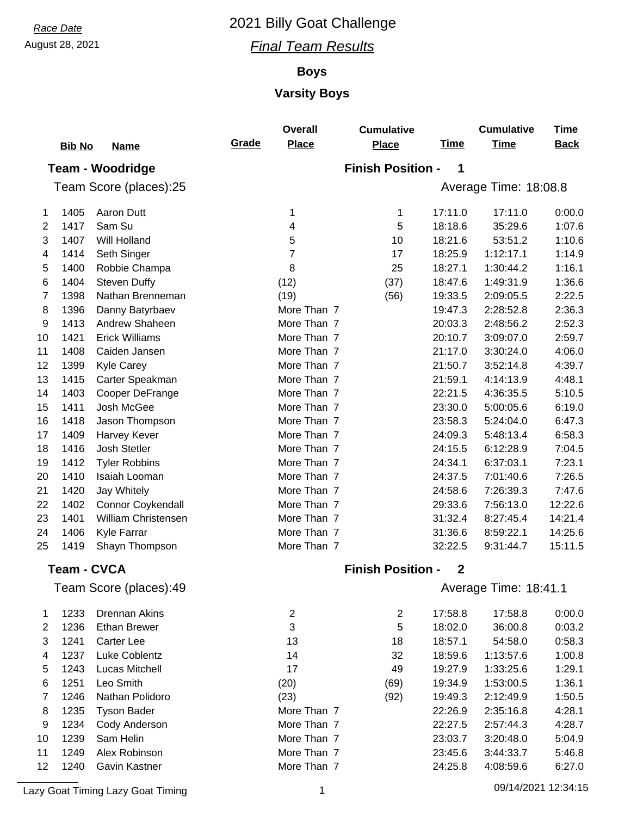## August 28, 2021 *Final Team Results*

## **Boys**

## **Varsity Boys**

|                | <b>Bib No</b>      | <b>Name</b>                | Grade | <b>Overall</b><br><b>Place</b> | <b>Cumulative</b><br><b>Place</b> | <b>Time</b> | <b>Cumulative</b><br><b>Time</b> | <b>Time</b><br><b>Back</b> |
|----------------|--------------------|----------------------------|-------|--------------------------------|-----------------------------------|-------------|----------------------------------|----------------------------|
|                |                    |                            |       |                                | <b>Finish Position -</b>          | 1           |                                  |                            |
|                |                    | <b>Team - Woodridge</b>    |       |                                |                                   |             |                                  |                            |
|                |                    | Team Score (places):25     |       |                                |                                   |             | Average Time: 18:08.8            |                            |
| 1              | 1405               | Aaron Dutt                 |       | 1                              | 1                                 | 17:11.0     | 17:11.0                          | 0:00.0                     |
| 2              | 1417               | Sam Su                     |       | 4                              | 5                                 | 18:18.6     | 35:29.6                          | 1:07.6                     |
| 3              | 1407               | Will Holland               |       | 5                              | 10                                | 18:21.6     | 53:51.2                          | 1:10.6                     |
| 4              | 1414               | Seth Singer                |       | 7                              | 17                                | 18:25.9     | 1:12:17.1                        | 1:14.9                     |
| 5              | 1400               | Robbie Champa              |       | 8                              | 25                                | 18:27.1     | 1:30:44.2                        | 1:16.1                     |
| 6              | 1404               | <b>Steven Duffy</b>        |       | (12)                           | (37)                              | 18:47.6     | 1:49:31.9                        | 1:36.6                     |
| 7              | 1398               | Nathan Brenneman           |       | (19)                           | (56)                              | 19:33.5     | 2:09:05.5                        | 2:22.5                     |
| 8              | 1396               | Danny Batyrbaev            |       | More Than 7                    |                                   | 19:47.3     | 2:28:52.8                        | 2:36.3                     |
| 9              | 1413               | Andrew Shaheen             |       | More Than 7                    |                                   | 20:03.3     | 2:48:56.2                        | 2:52.3                     |
| 10             | 1421               | <b>Erick Williams</b>      |       | More Than 7                    |                                   | 20:10.7     | 3:09:07.0                        | 2:59.7                     |
| 11             | 1408               | Caiden Jansen              |       | More Than 7                    |                                   | 21:17.0     | 3:30:24.0                        | 4:06.0                     |
| 12             | 1399               | Kyle Carey                 |       | More Than 7                    |                                   | 21:50.7     | 3:52:14.8                        | 4:39.7                     |
| 13             | 1415               | Carter Speakman            |       | More Than 7                    |                                   | 21:59.1     | 4:14:13.9                        | 4:48.1                     |
| 14             | 1403               | Cooper DeFrange            |       | More Than 7                    |                                   | 22:21.5     | 4:36:35.5                        | 5:10.5                     |
| 15             | 1411               | Josh McGee                 |       | More Than 7                    |                                   | 23:30.0     | 5:00:05.6                        | 6:19.0                     |
| 16             | 1418               | Jason Thompson             |       | More Than 7                    |                                   | 23:58.3     | 5:24:04.0                        | 6:47.3                     |
| 17             | 1409               | Harvey Kever               |       | More Than 7                    |                                   | 24:09.3     | 5:48:13.4                        | 6:58.3                     |
| 18             | 1416               | Josh Stetler               |       | More Than 7                    |                                   | 24:15.5     | 6:12:28.9                        | 7:04.5                     |
| 19             | 1412               | <b>Tyler Robbins</b>       |       | More Than 7                    |                                   | 24:34.1     | 6:37:03.1                        | 7:23.1                     |
| 20             | 1410               | Isaiah Looman              |       | More Than 7                    |                                   | 24:37.5     | 7:01:40.6                        | 7:26.5                     |
| 21             | 1420               | Jay Whitely                |       | More Than 7                    |                                   | 24:58.6     | 7:26:39.3                        | 7:47.6                     |
| 22             | 1402               | Connor Coykendall          |       | More Than 7                    |                                   | 29:33.6     | 7:56:13.0                        | 12:22.6                    |
| 23             | 1401               | <b>William Christensen</b> |       | More Than 7                    |                                   | 31:32.4     | 8:27:45.4                        | 14:21.4                    |
| 24             | 1406               | Kyle Farrar                |       | More Than 7                    |                                   | 31:36.6     | 8:59:22.1                        | 14:25.6                    |
| 25             | 1419               | Shayn Thompson             |       | More Than 7                    |                                   | 32:22.5     | 9:31:44.7                        | 15:11.5                    |
|                | <b>Team - CVCA</b> |                            |       |                                | <b>Finish Position -</b>          | $\mathbf 2$ |                                  |                            |
|                |                    | Team Score (places):49     |       |                                |                                   |             | Average Time: 18:41.1            |                            |
|                |                    |                            |       |                                |                                   |             |                                  |                            |
| 1              | 1233               | <b>Drennan Akins</b>       |       | $\overline{\mathbf{c}}$        | $\overline{c}$                    | 17:58.8     | 17:58.8                          | 0:00.0                     |
| $\overline{2}$ | 1236               | <b>Ethan Brewer</b>        |       | 3                              | 5                                 | 18:02.0     | 36:00.8                          | 0:03.2                     |
| 3              | 1241               | <b>Carter Lee</b>          |       | 13                             | 18                                | 18:57.1     | 54:58.0                          | 0:58.3                     |
| 4              | 1237               | Luke Coblentz              |       | 14                             | 32                                | 18:59.6     | 1:13:57.6                        | 1:00.8                     |
| 5              | 1243               | Lucas Mitchell             |       | 17                             | 49                                | 19:27.9     | 1:33:25.6                        | 1:29.1                     |
| 6              | 1251               | Leo Smith                  |       | (20)                           | (69)                              | 19:34.9     | 1:53:00.5                        | 1:36.1                     |
| 7              | 1246               | Nathan Polidoro            |       | (23)                           | (92)                              | 19:49.3     | 2:12:49.9                        | 1:50.5                     |
| 8              | 1235               | <b>Tyson Bader</b>         |       | More Than 7                    |                                   | 22:26.9     | 2:35:16.8                        | 4:28.1                     |
| 9              | 1234               | Cody Anderson              |       | More Than 7                    |                                   | 22:27.5     | 2:57:44.3                        | 4:28.7                     |
| 10             | 1239               | Sam Helin                  |       | More Than 7                    |                                   | 23:03.7     | 3:20:48.0                        | 5:04.9                     |
| 11             | 1249               | Alex Robinson              |       | More Than 7                    |                                   | 23:45.6     | 3:44:33.7                        | 5:46.8                     |
| 12             | 1240               | Gavin Kastner              |       | More Than 7                    |                                   | 24:25.8     | 4:08:59.6                        | 6:27.0                     |

Lazy Goat Timing Lazy Goat Timing 1 09/14/2021 12:34:15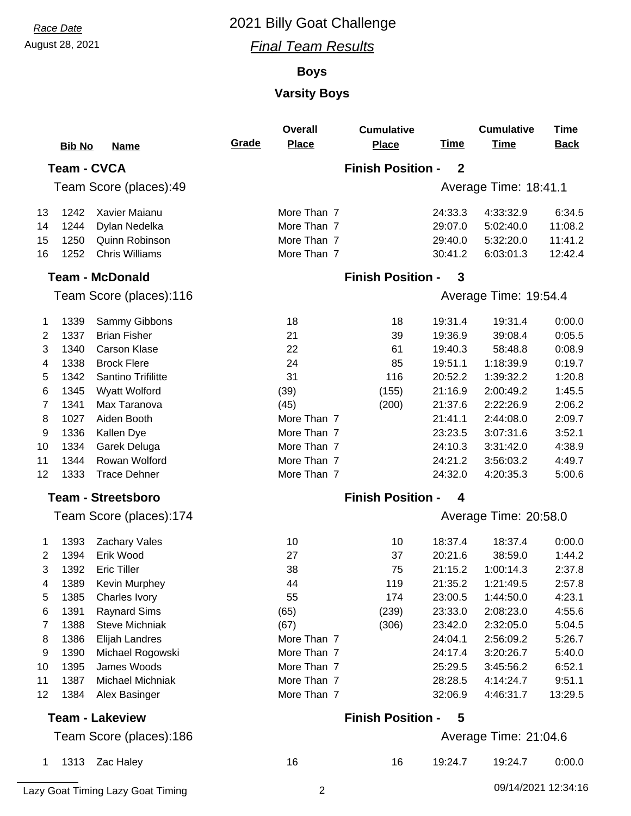## August 28, 2021 *Final Team Results*

## **Boys**

## **Varsity Boys**

|    | <b>Bib No</b> | <b>Name</b>                       | Grade | <b>Overall</b><br><b>Place</b> | <b>Cumulative</b><br><b>Place</b> | <u>Time</u>      | <b>Cumulative</b><br><b>Time</b> | <b>Time</b><br><b>Back</b> |
|----|---------------|-----------------------------------|-------|--------------------------------|-----------------------------------|------------------|----------------------------------|----------------------------|
|    |               | <b>Team - CVCA</b>                |       |                                | <b>Finish Position -</b>          | $\mathbf{2}$     |                                  |                            |
|    |               |                                   |       |                                |                                   |                  |                                  |                            |
|    |               | Team Score (places):49            |       |                                |                                   |                  | Average Time: 18:41.1            |                            |
| 13 | 1242          | Xavier Maianu                     |       | More Than 7                    |                                   | 24:33.3          | 4:33:32.9                        | 6:34.5                     |
| 14 | 1244          | Dylan Nedelka                     |       | More Than 7                    |                                   | 29:07.0          | 5:02:40.0                        | 11:08.2                    |
| 15 | 1250          | Quinn Robinson                    |       | More Than 7                    |                                   | 29:40.0          | 5:32:20.0                        | 11:41.2                    |
| 16 | 1252          | <b>Chris Williams</b>             |       | More Than 7                    |                                   | 30:41.2          | 6:03:01.3                        | 12:42.4                    |
|    |               | <b>Team - McDonald</b>            |       |                                | <b>Finish Position -</b>          | 3                |                                  |                            |
|    |               | Team Score (places):116           |       |                                |                                   |                  | Average Time: 19:54.4            |                            |
| 1  | 1339          | Sammy Gibbons                     |       | 18                             | 18                                | 19:31.4          | 19:31.4                          | 0:00.0                     |
| 2  | 1337          | <b>Brian Fisher</b>               |       | 21                             | 39                                | 19:36.9          | 39:08.4                          | 0:05.5                     |
| 3  | 1340          | <b>Carson Klase</b>               |       | 22                             | 61                                | 19:40.3          | 58:48.8                          | 0:08.9                     |
| 4  | 1338          | <b>Brock Flere</b>                |       | 24                             | 85                                | 19:51.1          | 1:18:39.9                        | 0:19.7                     |
| 5  | 1342          | Santino Trifilitte                |       | 31                             | 116                               | 20:52.2          | 1:39:32.2                        | 1:20.8                     |
| 6  | 1345          | Wyatt Wolford                     |       | (39)                           | (155)                             | 21:16.9          | 2:00:49.2                        | 1:45.5                     |
| 7  | 1341          | Max Taranova                      |       | (45)                           | (200)                             | 21:37.6          | 2:22:26.9                        | 2:06.2                     |
| 8  | 1027          | Aiden Booth                       |       | More Than 7                    |                                   | 21:41.1          | 2:44:08.0                        | 2:09.7                     |
| 9  | 1336          | Kallen Dye                        |       | More Than 7                    |                                   | 23:23.5          | 3:07:31.6                        | 3:52.1                     |
| 10 | 1334          | Garek Deluga                      |       | More Than 7                    |                                   | 24:10.3          | 3:31:42.0                        | 4:38.9                     |
| 11 | 1344          | Rowan Wolford                     |       | More Than 7                    |                                   | 24:21.2          | 3:56:03.2                        | 4:49.7                     |
| 12 | 1333          | <b>Trace Dehner</b>               |       | More Than 7                    |                                   | 24:32.0          | 4:20:35.3                        | 5:00.6                     |
|    |               | <b>Team - Streetsboro</b>         |       |                                | <b>Finish Position -</b>          | $\boldsymbol{4}$ |                                  |                            |
|    |               | Team Score (places):174           |       |                                |                                   |                  | Average Time: 20:58.0            |                            |
| 1  | 1393          | <b>Zachary Vales</b>              |       | 10                             | 10                                | 18:37.4          | 18:37.4                          | 0:00.0                     |
| 2  | 1394          | Erik Wood                         |       | 27                             | 37                                | 20:21.6          | 38:59.0                          | 1:44.2                     |
| 3  | 1392          | <b>Eric Tiller</b>                |       | 38                             | 75                                | 21:15.2          | 1:00:14.3                        | 2:37.8                     |
| 4  | 1389          | <b>Kevin Murphey</b>              |       | 44                             | 119                               | 21:35.2          | 1:21:49.5                        | 2:57.8                     |
| 5  | 1385          | Charles Ivory                     |       | 55                             | 174                               | 23:00.5          | 1:44:50.0                        | 4:23.1                     |
| 6  | 1391          | <b>Raynard Sims</b>               |       | (65)                           | (239)                             | 23:33.0          | 2:08:23.0                        | 4:55.6                     |
| 7  | 1388          | <b>Steve Michniak</b>             |       | (67)                           | (306)                             | 23:42.0          | 2:32:05.0                        | 5:04.5                     |
| 8  | 1386          | Elijah Landres                    |       | More Than 7                    |                                   | 24:04.1          | 2:56:09.2                        | 5:26.7                     |
| 9  | 1390          | Michael Rogowski                  |       | More Than 7                    |                                   | 24:17.4          | 3:20:26.7                        | 5:40.0                     |
| 10 | 1395          | James Woods                       |       | More Than 7                    |                                   | 25:29.5          | 3:45:56.2                        | 6:52.1                     |
| 11 | 1387          | <b>Michael Michniak</b>           |       | More Than 7                    |                                   | 28:28.5          | 4:14:24.7                        | 9:51.1                     |
| 12 | 1384          | Alex Basinger                     |       | More Than 7                    |                                   | 32:06.9          | 4:46:31.7                        | 13:29.5                    |
|    |               | <b>Team - Lakeview</b>            |       |                                | <b>Finish Position -</b>          | 5                |                                  |                            |
|    |               | Team Score (places):186           |       |                                |                                   |                  | Average Time: 21:04.6            |                            |
| 1  | 1313          | Zac Haley                         |       | 16                             | 16                                | 19:24.7          | 19:24.7                          | 0:00.0                     |
|    |               | Lazy Goat Timing Lazy Goat Timing |       | $\overline{2}$                 |                                   |                  | 09/14/2021 12:34:16              |                            |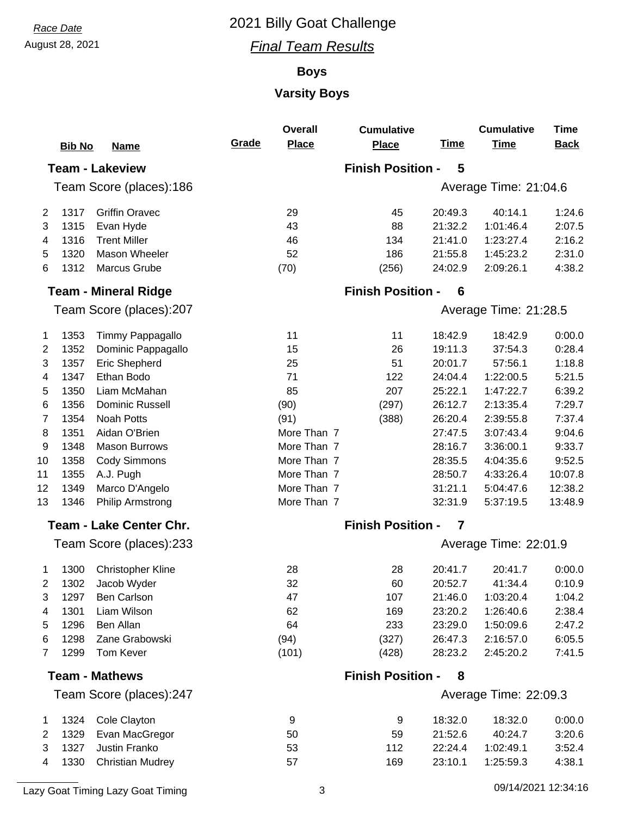#### August 28, 2021 *Final Team Results*

#### **Boys**

## **Varsity Boys**

|                |               |                                |       | <b>Overall</b> | <b>Cumulative</b>        |             | <b>Cumulative</b>     | <b>Time</b> |
|----------------|---------------|--------------------------------|-------|----------------|--------------------------|-------------|-----------------------|-------------|
|                | <b>Bib No</b> | <u>Name</u>                    | Grade | <b>Place</b>   | <b>Place</b>             | <b>Time</b> | <b>Time</b>           | <b>Back</b> |
|                |               | <b>Team - Lakeview</b>         |       |                | <b>Finish Position -</b> | 5           |                       |             |
|                |               | Team Score (places):186        |       |                |                          |             | Average Time: 21:04.6 |             |
| 2              | 1317          | <b>Griffin Oravec</b>          |       | 29             | 45                       | 20:49.3     | 40:14.1               | 1:24.6      |
| 3              | 1315          | Evan Hyde                      |       | 43             | 88                       | 21:32.2     | 1:01:46.4             | 2:07.5      |
| 4              | 1316          | <b>Trent Miller</b>            |       | 46             | 134                      | 21:41.0     | 1:23:27.4             | 2:16.2      |
| 5              | 1320          | Mason Wheeler                  |       | 52             | 186                      | 21:55.8     | 1:45:23.2             | 2:31.0      |
| 6              | 1312          | Marcus Grube                   |       | (70)           | (256)                    | 24:02.9     | 2:09:26.1             | 4:38.2      |
|                |               | <b>Team - Mineral Ridge</b>    |       |                | <b>Finish Position -</b> | 6           |                       |             |
|                |               | Team Score (places):207        |       |                |                          |             | Average Time: 21:28.5 |             |
| 1              | 1353          | Timmy Pappagallo               |       | 11             | 11                       | 18:42.9     | 18:42.9               | 0:00.0      |
| 2              | 1352          | Dominic Pappagallo             |       | 15             | 26                       | 19:11.3     | 37:54.3               | 0:28.4      |
| 3              | 1357          | Eric Shepherd                  |       | 25             | 51                       | 20:01.7     | 57:56.1               | 1:18.8      |
| 4              | 1347          | Ethan Bodo                     |       | 71             | 122                      | 24:04.4     | 1:22:00.5             | 5:21.5      |
| 5              | 1350          | Liam McMahan                   |       | 85             | 207                      | 25:22.1     | 1:47:22.7             | 6:39.2      |
| 6              | 1356          | <b>Dominic Russell</b>         |       | (90)           | (297)                    | 26:12.7     | 2:13:35.4             | 7:29.7      |
| 7              | 1354          | <b>Noah Potts</b>              |       | (91)           | (388)                    | 26:20.4     | 2:39:55.8             | 7:37.4      |
| 8              | 1351          | Aidan O'Brien                  |       | More Than 7    |                          | 27:47.5     | 3:07:43.4             | 9:04.6      |
| 9              | 1348          | <b>Mason Burrows</b>           |       | More Than 7    |                          | 28:16.7     | 3:36:00.1             | 9:33.7      |
| 10             | 1358          | <b>Cody Simmons</b>            |       | More Than 7    |                          | 28:35.5     | 4:04:35.6             | 9:52.5      |
| 11             | 1355          | A.J. Pugh                      |       | More Than 7    |                          | 28:50.7     | 4:33:26.4             | 10:07.8     |
| 12             | 1349          | Marco D'Angelo                 |       | More Than 7    |                          | 31:21.1     | 5:04:47.6             | 12:38.2     |
| 13             | 1346          | <b>Philip Armstrong</b>        |       | More Than 7    |                          | 32:31.9     | 5:37:19.5             | 13:48.9     |
|                |               | <b>Team - Lake Center Chr.</b> |       |                | <b>Finish Position -</b> | 7           |                       |             |
|                |               | Team Score (places):233        |       |                |                          |             | Average Time: 22:01.9 |             |
| 1              | 1300          | <b>Christopher Kline</b>       |       | 28             | 28                       | 20:41.7     | 20:41.7               | 0:00.0      |
| 2              | 1302          | Jacob Wyder                    |       | 32             | 60                       | 20:52.7     | 41:34.4               | 0:10.9      |
| 3              | 1297          | Ben Carlson                    |       | 47             | 107                      | 21:46.0     | 1:03:20.4             | 1:04.2      |
| 4              | 1301          | Liam Wilson                    |       | 62             | 169                      | 23:20.2     | 1:26:40.6             | 2:38.4      |
| 5              | 1296          | Ben Allan                      |       | 64             | 233                      | 23:29.0     | 1:50:09.6             | 2:47.2      |
| 6              | 1298          | Zane Grabowski                 |       | (94)           | (327)                    | 26:47.3     | 2:16:57.0             | 6:05.5      |
| $\overline{7}$ | 1299          | <b>Tom Kever</b>               |       | (101)          | (428)                    | 28:23.2     | 2:45:20.2             | 7:41.5      |
|                |               | <b>Team - Mathews</b>          |       |                | <b>Finish Position -</b> | 8           |                       |             |
|                |               | Team Score (places):247        |       |                |                          |             | Average Time: 22:09.3 |             |
| 1              | 1324          | Cole Clayton                   |       | 9              | 9                        | 18:32.0     | 18:32.0               | 0:00.0      |
| 2              | 1329          | Evan MacGregor                 |       | 50             | 59                       | 21:52.6     | 40:24.7               | 3:20.6      |
| 3              | 1327          | Justin Franko                  |       | 53             | 112                      | 22:24.4     | 1:02:49.1             | 3:52.4      |
| 4              | 1330          | <b>Christian Mudrey</b>        |       | 57             | 169                      | 23:10.1     | 1:25:59.3             | 4:38.1      |

Lazy Goat Timing Lazy Goat Timing 3 12:34:16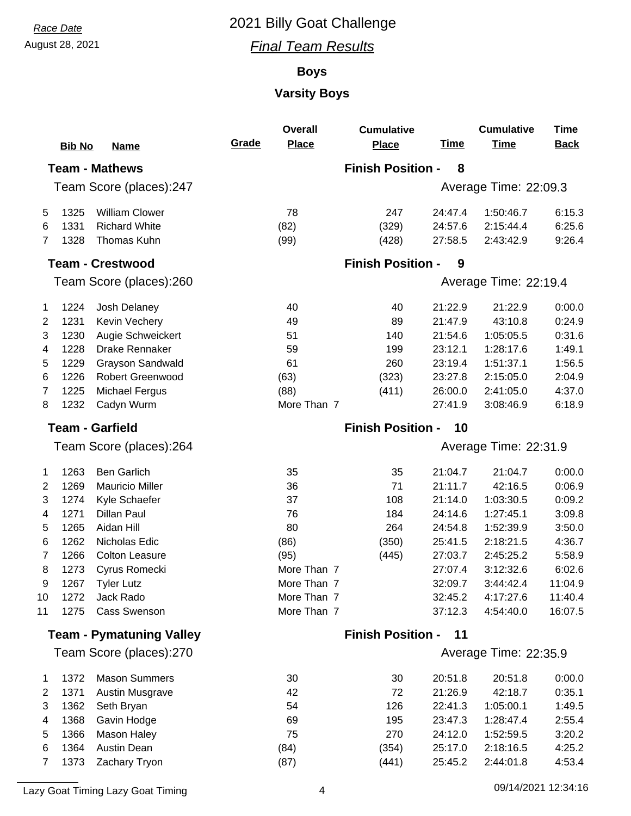#### August 28, 2021 *Final Team Results*

#### **Boys**

## **Varsity Boys**

|                                 |               |                         |       | <b>Overall</b> | <b>Cumulative</b>        |             | <b>Cumulative</b>     | <b>Time</b> |
|---------------------------------|---------------|-------------------------|-------|----------------|--------------------------|-------------|-----------------------|-------------|
|                                 | <b>Bib No</b> | <u>Name</u>             | Grade | <b>Place</b>   | <b>Place</b>             | <b>Time</b> | <b>Time</b>           | <b>Back</b> |
|                                 |               | <b>Team - Mathews</b>   |       |                | <b>Finish Position -</b> | 8           |                       |             |
|                                 |               | Team Score (places):247 |       |                |                          |             | Average Time: 22:09.3 |             |
| 5                               | 1325          | <b>William Clower</b>   |       | 78             | 247                      | 24:47.4     | 1:50:46.7             | 6:15.3      |
| 6                               | 1331          | <b>Richard White</b>    |       | (82)           | (329)                    | 24:57.6     | 2:15:44.4             | 6:25.6      |
| $\overline{7}$                  | 1328          | Thomas Kuhn             |       | (99)           | (428)                    | 27:58.5     | 2:43:42.9             | 9:26.4      |
|                                 |               | <b>Team - Crestwood</b> |       |                | <b>Finish Position -</b> | 9           |                       |             |
|                                 |               | Team Score (places):260 |       |                |                          |             | Average Time: 22:19.4 |             |
| 1                               | 1224          | Josh Delaney            |       | 40             | 40                       | 21:22.9     | 21:22.9               | 0:00.0      |
| 2                               | 1231          | Kevin Vechery           |       | 49             | 89                       | 21:47.9     | 43:10.8               | 0:24.9      |
| 3                               | 1230          | Augie Schweickert       |       | 51             | 140                      | 21:54.6     | 1:05:05.5             | 0:31.6      |
| 4                               | 1228          | Drake Rennaker          |       | 59             | 199                      | 23:12.1     | 1:28:17.6             | 1:49.1      |
| 5                               | 1229          | Grayson Sandwald        |       | 61             | 260                      | 23:19.4     | 1:51:37.1             | 1:56.5      |
| 6                               | 1226          | <b>Robert Greenwood</b> |       | (63)           | (323)                    | 23:27.8     | 2:15:05.0             | 2:04.9      |
| 7                               | 1225          | <b>Michael Fergus</b>   |       | (88)           | (411)                    | 26:00.0     | 2:41:05.0             | 4:37.0      |
| 8                               | 1232          | Cadyn Wurm              |       | More Than 7    |                          | 27:41.9     | 3:08:46.9             | 6:18.9      |
| <b>Team - Garfield</b>          |               |                         |       |                | <b>Finish Position -</b> | 10          |                       |             |
|                                 |               | Team Score (places):264 |       |                |                          |             | Average Time: 22:31.9 |             |
| 1                               | 1263          | <b>Ben Garlich</b>      |       | 35             | 35                       | 21:04.7     | 21:04.7               | 0:00.0      |
| 2                               | 1269          | <b>Mauricio Miller</b>  |       | 36             | 71                       | 21:11.7     | 42:16.5               | 0:06.9      |
| 3                               | 1274          | Kyle Schaefer           |       | 37             | 108                      | 21:14.0     | 1:03:30.5             | 0:09.2      |
| 4                               | 1271          | <b>Dillan Paul</b>      |       | 76             | 184                      | 24:14.6     | 1:27:45.1             | 3:09.8      |
| 5                               | 1265          | Aidan Hill              |       | 80             | 264                      | 24:54.8     | 1:52:39.9             | 3:50.0      |
| 6                               | 1262          | Nicholas Edic           |       | (86)           | (350)                    | 25:41.5     | 2:18:21.5             | 4:36.7      |
| 7                               | 1266          | <b>Colton Leasure</b>   |       | (95)           | (445)                    | 27:03.7     | 2:45:25.2             | 5:58.9      |
| 8                               | 1273          | Cyrus Romecki           |       | More Than 7    |                          | 27:07.4     | 3:12:32.6             | 6:02.6      |
| 9                               | 1267          | <b>Tyler Lutz</b>       |       | More Than 7    |                          | 32:09.7     | 3:44:42.4             | 11:04.9     |
| 10                              | 1272          | Jack Rado               |       | More Than 7    |                          | 32:45.2     | 4:17:27.6             | 11:40.4     |
| 11                              | 1275          | <b>Cass Swenson</b>     |       | More Than 7    |                          | 37:12.3     | 4:54:40.0             | 16:07.5     |
| <b>Team - Pymatuning Valley</b> |               |                         |       |                | <b>Finish Position -</b> | 11          |                       |             |
|                                 |               | Team Score (places):270 |       |                |                          |             | Average Time: 22:35.9 |             |
| $\mathbf{1}$                    | 1372          | <b>Mason Summers</b>    |       | 30             | 30                       | 20:51.8     | 20:51.8               | 0:00.0      |
| 2                               | 1371          | Austin Musgrave         |       | 42             | 72                       | 21:26.9     | 42:18.7               | 0:35.1      |
| 3                               | 1362          | Seth Bryan              |       | 54             | 126                      | 22:41.3     | 1:05:00.1             | 1:49.5      |
| 4                               | 1368          | Gavin Hodge             |       | 69             | 195                      | 23:47.3     | 1:28:47.4             | 2:55.4      |
| 5                               | 1366          | Mason Haley             |       | 75             | 270                      | 24:12.0     | 1:52:59.5             | 3:20.2      |
| 6                               | 1364          | <b>Austin Dean</b>      |       | (84)           | (354)                    | 25:17.0     | 2:18:16.5             | 4:25.2      |
| 7                               | 1373          | Zachary Tryon           |       | (87)           | (441)                    | 25:45.2     | 2:44:01.8             | 4:53.4      |
|                                 |               |                         |       |                |                          |             |                       |             |

Lazy Goat Timing Lazy Goat Timing **12:34:16** 4 12:34:16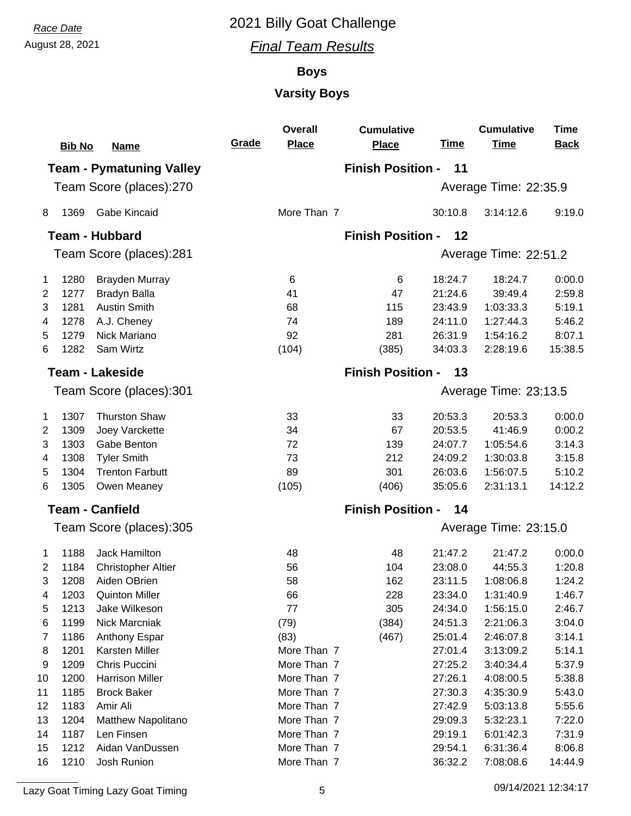August 28, 2021 *Final Team Results*

#### **Boys**

## **Varsity Boys**

|    |               |                                 |       | <b>Overall</b> | <b>Cumulative</b>        |                       | <b>Cumulative</b>     | <b>Time</b> |  |  |  |
|----|---------------|---------------------------------|-------|----------------|--------------------------|-----------------------|-----------------------|-------------|--|--|--|
|    | <b>Bib No</b> | <b>Name</b>                     | Grade | <b>Place</b>   | <b>Place</b>             | <b>Time</b>           | <b>Time</b>           | <b>Back</b> |  |  |  |
|    |               | <b>Team - Pymatuning Valley</b> |       |                | <b>Finish Position -</b> | 11                    |                       |             |  |  |  |
|    |               | Team Score (places):270         |       |                |                          |                       | Average Time: 22:35.9 |             |  |  |  |
| 8  | 1369          | Gabe Kincaid                    |       | More Than 7    |                          | 30:10.8               | 3:14:12.6             | 9:19.0      |  |  |  |
|    |               | <b>Team - Hubbard</b>           |       |                | <b>Finish Position -</b> | 12                    |                       |             |  |  |  |
|    |               | Team Score (places):281         |       |                |                          |                       | Average Time: 22:51.2 |             |  |  |  |
|    |               |                                 |       |                |                          |                       |                       |             |  |  |  |
| 1  | 1280          | <b>Brayden Murray</b>           |       | 6              | 6                        | 18:24.7               | 18:24.7               | 0:00.0      |  |  |  |
| 2  | 1277          | <b>Bradyn Balla</b>             |       | 41             | 47                       | 21:24.6               | 39:49.4               | 2:59.8      |  |  |  |
| 3  | 1281          | <b>Austin Smith</b>             |       | 68             | 115                      | 23:43.9               | 1:03:33.3             | 5:19.1      |  |  |  |
| 4  | 1278          | A.J. Cheney                     |       | 74             | 189                      | 24:11.0               | 1:27:44.3             | 5:46.2      |  |  |  |
| 5  | 1279          | Nick Mariano                    |       | 92             | 281                      | 26:31.9               | 1:54:16.2             | 8:07.1      |  |  |  |
| 6  | 1282          | Sam Wirtz                       |       | (104)          | (385)                    | 34:03.3               | 2:28:19.6             | 15:38.5     |  |  |  |
|    |               | <b>Team - Lakeside</b>          |       |                | <b>Finish Position -</b> | 13                    |                       |             |  |  |  |
|    |               | Team Score (places):301         |       |                |                          |                       | Average Time: 23:13.5 |             |  |  |  |
| 1  | 1307          | <b>Thurston Shaw</b>            |       | 33             | 33                       | 20:53.3               | 20:53.3               | 0:00.0      |  |  |  |
| 2  | 1309          | Joey Varckette                  |       | 34             | 67                       | 20:53.5               | 41:46.9               | 0:00.2      |  |  |  |
| 3  | 1303          | Gabe Benton                     |       | 72             | 139                      | 24:07.7               | 1:05:54.6             | 3:14.3      |  |  |  |
| 4  | 1308          | <b>Tyler Smith</b>              |       | 73             | 212                      | 24:09.2               | 1:30:03.8             | 3:15.8      |  |  |  |
| 5  | 1304          | <b>Trenton Farbutt</b>          |       | 89             | 301                      | 26:03.6               | 1:56:07.5             | 5:10.2      |  |  |  |
| 6  | 1305          | Owen Meaney                     |       | (105)          | (406)                    | 35:05.6               | 2:31:13.1             | 14:12.2     |  |  |  |
|    |               | <b>Team - Canfield</b>          |       |                | <b>Finish Position -</b> | 14                    |                       |             |  |  |  |
|    |               | Team Score (places):305         |       |                |                          | Average Time: 23:15.0 |                       |             |  |  |  |
| 1  | 1188          | Jack Hamilton                   |       | 48             | 48                       | 21:47.2               | 21:47.2               | 0:00.0      |  |  |  |
| 2  | 1184          | <b>Christopher Altier</b>       |       | 56             | 104                      | 23:08.0               | 44:55.3               | 1:20.8      |  |  |  |
| 3  | 1208          | Aiden OBrien                    |       | 58             | 162                      | 23:11.5               | 1:08:06.8             | 1:24.2      |  |  |  |
| 4  | 1203          | <b>Quinton Miller</b>           |       | 66             | 228                      | 23:34.0               | 1:31:40.9             | 1:46.7      |  |  |  |
| 5  | 1213          | Jake Wilkeson                   |       | 77             | 305                      | 24:34.0               | 1:56:15.0             | 2:46.7      |  |  |  |
| 6  | 1199          | Nick Marcniak                   |       | (79)           | (384)                    | 24:51.3               | 2:21:06.3             | 3:04.0      |  |  |  |
| 7  | 1186          | Anthony Espar                   |       | (83)           | (467)                    | 25:01.4               | 2:46:07.8             | 3:14.1      |  |  |  |
| 8  | 1201          | Karsten Miller                  |       | More Than 7    |                          | 27:01.4               | 3:13:09.2             | 5:14.1      |  |  |  |
| 9  | 1209          | Chris Puccini                   |       | More Than 7    |                          | 27:25.2               | 3:40:34.4             | 5:37.9      |  |  |  |
| 10 | 1200          | <b>Harrison Miller</b>          |       | More Than 7    |                          | 27:26.1               | 4:08:00.5             | 5:38.8      |  |  |  |
| 11 | 1185          | <b>Brock Baker</b>              |       | More Than 7    |                          | 27:30.3               | 4:35:30.9             | 5:43.0      |  |  |  |
| 12 | 1183          | Amir Ali                        |       | More Than 7    |                          | 27:42.9               | 5:03:13.8             | 5:55.6      |  |  |  |
| 13 | 1204          | Matthew Napolitano              |       | More Than 7    |                          | 29:09.3               | 5:32:23.1             | 7:22.0      |  |  |  |
| 14 | 1187          | Len Finsen                      |       | More Than 7    |                          | 29:19.1               | 6:01:42.3             | 7:31.9      |  |  |  |
| 15 | 1212          | Aidan VanDussen                 |       | More Than 7    |                          | 29:54.1               | 6:31:36.4             | 8:06.8      |  |  |  |
| 16 | 1210          | Josh Runion                     |       | More Than 7    |                          | 36:32.2               | 7:08:08.6             | 14:44.9     |  |  |  |

Lazy Goat Timing Lazy Goat Timing 12:34:17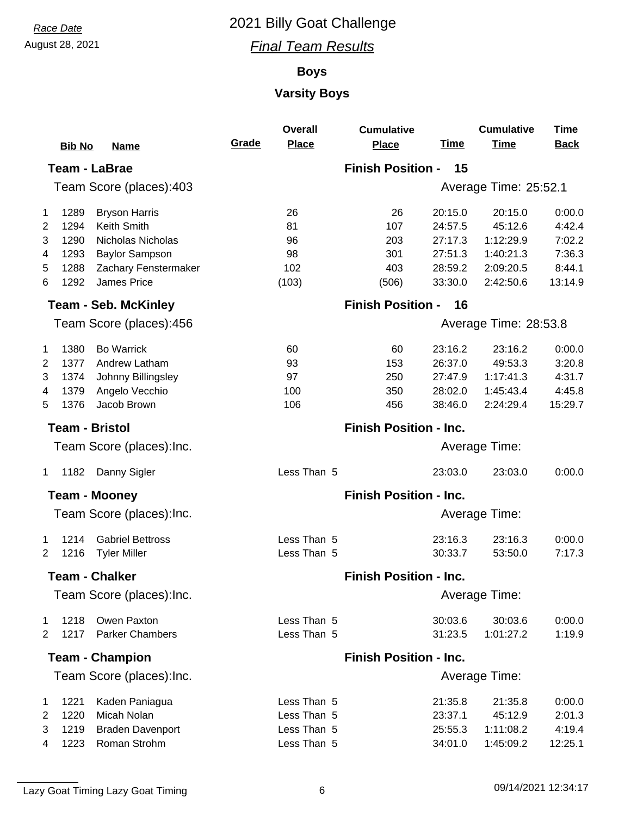#### August 28, 2021 *Final Team Results*

#### **Boys**

## **Varsity Boys**

|                         | <b>Bib No</b> | <b>Name</b>                 | Grade                         | <b>Overall</b><br><b>Place</b> | <b>Cumulative</b><br><b>Place</b> | <b>Time</b> | <b>Cumulative</b><br><b>Time</b> | <b>Time</b><br><b>Back</b> |  |
|-------------------------|---------------|-----------------------------|-------------------------------|--------------------------------|-----------------------------------|-------------|----------------------------------|----------------------------|--|
|                         |               | <b>Team - LaBrae</b>        |                               |                                | <b>Finish Position -</b>          | 15          |                                  |                            |  |
| Team Score (places):403 |               |                             |                               |                                |                                   |             | Average Time: 25:52.1            |                            |  |
| $\mathbf 1$             | 1289          | <b>Bryson Harris</b>        |                               | 26                             | 26                                | 20:15.0     | 20:15.0                          | 0:00.0                     |  |
| $\overline{2}$          | 1294          | <b>Keith Smith</b>          |                               | 81                             | 107                               | 24:57.5     | 45:12.6                          | 4:42.4                     |  |
| 3                       | 1290          | Nicholas Nicholas           |                               | 96                             | 203                               | 27:17.3     | 1:12:29.9                        | 7:02.2                     |  |
| 4                       | 1293          | <b>Baylor Sampson</b>       |                               | 98                             | 301                               | 27:51.3     | 1:40:21.3                        | 7:36.3                     |  |
| 5                       | 1288          | Zachary Fenstermaker        |                               | 102                            | 403                               | 28:59.2     | 2:09:20.5                        | 8:44.1                     |  |
| 6                       | 1292          | James Price                 |                               | (103)                          | (506)                             | 33:30.0     | 2:42:50.6                        | 13:14.9                    |  |
|                         |               | <b>Team - Seb. McKinley</b> |                               |                                | <b>Finish Position -</b>          | 16          |                                  |                            |  |
|                         |               | Team Score (places):456     |                               |                                |                                   |             | Average Time: 28:53.8            |                            |  |
| $\mathbf{1}$            | 1380          | <b>Bo Warrick</b>           |                               | 60                             | 60                                | 23:16.2     | 23:16.2                          | 0:00.0                     |  |
| 2                       | 1377          | Andrew Latham               |                               | 93                             | 153                               | 26:37.0     | 49:53.3                          | 3:20.8                     |  |
| 3                       | 1374          | Johnny Billingsley          |                               | 97                             | 250                               | 27:47.9     | 1:17:41.3                        | 4:31.7                     |  |
| 4                       | 1379          | Angelo Vecchio              |                               | 100                            | 350                               | 28:02.0     | 1:45:43.4                        | 4:45.8                     |  |
| 5                       | 1376          | Jacob Brown                 |                               | 106                            | 456                               | 38:46.0     | 2:24:29.4                        | 15:29.7                    |  |
|                         |               | <b>Team - Bristol</b>       |                               |                                | <b>Finish Position - Inc.</b>     |             |                                  |                            |  |
|                         |               | Team Score (places): Inc.   |                               |                                |                                   |             | Average Time:                    |                            |  |
| $\mathbf{1}$            | 1182          | Danny Sigler                |                               | Less Than 5                    |                                   | 23:03.0     | 23:03.0                          | 0:00.0                     |  |
|                         |               | <b>Team - Mooney</b>        | <b>Finish Position - Inc.</b> |                                |                                   |             |                                  |                            |  |
|                         |               | Team Score (places): Inc.   |                               |                                |                                   |             | Average Time:                    |                            |  |
| 1                       | 1214          | <b>Gabriel Bettross</b>     |                               | Less Than 5                    |                                   | 23:16.3     | 23:16.3                          | 0:00.0                     |  |
| 2                       | 1216          | <b>Tyler Miller</b>         |                               | Less Than 5                    |                                   | 30:33.7     | 53:50.0                          | 7:17.3                     |  |
|                         |               | <b>Team - Chalker</b>       | <b>Finish Position - Inc.</b> |                                |                                   |             |                                  |                            |  |
|                         |               | Team Score (places): Inc.   |                               |                                |                                   |             | Average Time:                    |                            |  |
| 1                       | 1218          | Owen Paxton                 |                               | Less Than 5                    |                                   | 30:03.6     | 30:03.6                          | 0:00.0                     |  |
| 2                       | 1217          | <b>Parker Chambers</b>      |                               | Less Than 5                    |                                   | 31:23.5     | 1:01:27.2                        | 1:19.9                     |  |
|                         |               | <b>Team - Champion</b>      | <b>Finish Position - Inc.</b> |                                |                                   |             |                                  |                            |  |
|                         |               | Team Score (places): Inc.   |                               |                                |                                   |             | Average Time:                    |                            |  |
| $\mathbf{1}$            | 1221          | Kaden Paniagua              |                               | Less Than 5                    |                                   | 21:35.8     | 21:35.8                          | 0:00.0                     |  |
| 2                       | 1220          | Micah Nolan                 |                               | Less Than 5                    |                                   | 23:37.1     | 45:12.9                          | 2:01.3                     |  |
| 3                       | 1219          | <b>Braden Davenport</b>     |                               | Less Than 5                    |                                   | 25:55.3     | 1:11:08.2                        | 4:19.4                     |  |
| 4                       | 1223          | Roman Strohm                |                               | Less Than 5                    |                                   | 34:01.0     | 1:45:09.2                        | 12:25.1                    |  |